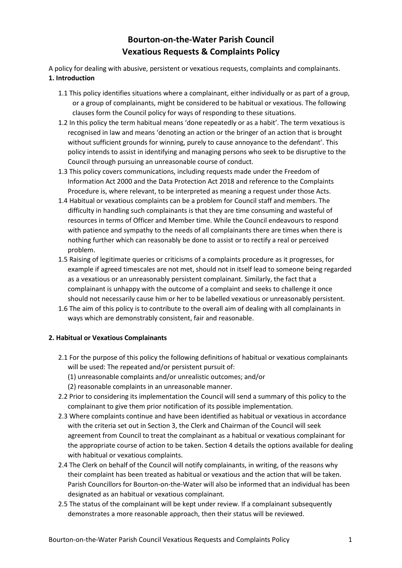# **Bourton-on-the-Water Parish Council Vexatious Requests & Complaints Policy**

A policy for dealing with abusive, persistent or vexatious requests, complaints and complainants. **1. Introduction**

- 1.1 This policy identifies situations where a complainant, either individually or as part of a group, or a group of complainants, might be considered to be habitual or vexatious. The following clauses form the Council policy for ways of responding to these situations.
- 1.2 In this policy the term habitual means 'done repeatedly or as a habit'. The term vexatious is recognised in law and means 'denoting an action or the bringer of an action that is brought without sufficient grounds for winning, purely to cause annoyance to the defendant'. This policy intends to assist in identifying and managing persons who seek to be disruptive to the Council through pursuing an unreasonable course of conduct.
- 1.3 This policy covers communications, including requests made under the Freedom of Information Act 2000 and the Data Protection Act 2018 and reference to the Complaints Procedure is, where relevant, to be interpreted as meaning a request under those Acts.
- 1.4 Habitual or vexatious complaints can be a problem for Council staff and members. The difficulty in handling such complainants is that they are time consuming and wasteful of resources in terms of Officer and Member time. While the Council endeavours to respond with patience and sympathy to the needs of all complainants there are times when there is nothing further which can reasonably be done to assist or to rectify a real or perceived problem.
- 1.5 Raising of legitimate queries or criticisms of a complaints procedure as it progresses, for example if agreed timescales are not met, should not in itself lead to someone being regarded as a vexatious or an unreasonably persistent complainant. Similarly, the fact that a complainant is unhappy with the outcome of a complaint and seeks to challenge it once should not necessarily cause him or her to be labelled vexatious or unreasonably persistent.
- 1.6 The aim of this policy is to contribute to the overall aim of dealing with all complainants in ways which are demonstrably consistent, fair and reasonable.

## **2. Habitual or Vexatious Complainants**

- 2.1 For the purpose of this policy the following definitions of habitual or vexatious complainants will be used: The repeated and/or persistent pursuit of:
	- (1) unreasonable complaints and/or unrealistic outcomes; and/or
	- (2) reasonable complaints in an unreasonable manner.
- 2.2 Prior to considering its implementation the Council will send a summary of this policy to the complainant to give them prior notification of its possible implementation.
- 2.3 Where complaints continue and have been identified as habitual or vexatious in accordance with the criteria set out in Section 3, the Clerk and Chairman of the Council will seek agreement from Council to treat the complainant as a habitual or vexatious complainant for the appropriate course of action to be taken. Section 4 details the options available for dealing with habitual or vexatious complaints.
- 2.4 The Clerk on behalf of the Council will notify complainants, in writing, of the reasons why their complaint has been treated as habitual or vexatious and the action that will be taken. Parish Councillors for Bourton-on-the-Water will also be informed that an individual has been designated as an habitual or vexatious complainant.
- 2.5 The status of the complainant will be kept under review. If a complainant subsequently demonstrates a more reasonable approach, then their status will be reviewed.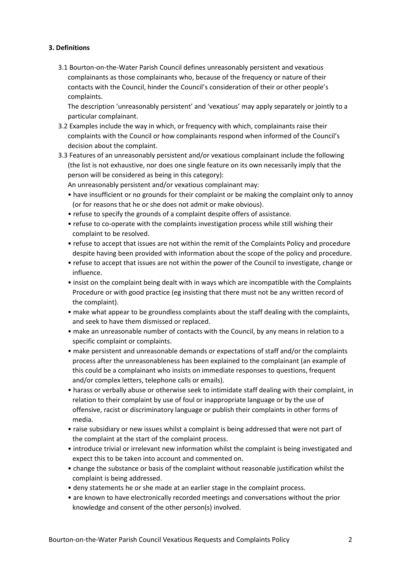## **3. Definitions**

3.1 Bourton-on-the-Water Parish Council defines unreasonably persistent and vexatious complainants as those complainants who, because of the frequency or nature of their contacts with the Council, hinder the Council's consideration of their or other people's complaints.

The description 'unreasonably persistent' and 'vexatious' may apply separately or jointly to a particular complainant.

- 3.2 Examples include the way in which, or frequency with which, complainants raise their complaints with the Council or how complainants respond when informed of the Council's decision about the complaint.
- 3.3 Features of an unreasonably persistent and/or vexatious complainant include the following (the list is not exhaustive, nor does one single feature on its own necessarily imply that the person will be considered as being in this category):

An unreasonably persistent and/or vexatious complainant may:

- have insufficient or no grounds for their complaint or be making the complaint only to annoy (or for reasons that he or she does not admit or make obvious).
- refuse to specify the grounds of a complaint despite offers of assistance.
- refuse to co-operate with the complaints investigation process while still wishing their complaint to be resolved.
- refuse to accept that issues are not within the remit of the Complaints Policy and procedure despite having been provided with information about the scope of the policy and procedure.
- refuse to accept that issues are not within the power of the Council to investigate, change or influence.
- insist on the complaint being dealt with in ways which are incompatible with the Complaints Procedure or with good practice (eg insisting that there must not be any written record of the complaint).
- make what appear to be groundless complaints about the staff dealing with the complaints, and seek to have them dismissed or replaced.
- make an unreasonable number of contacts with the Council, by any means in relation to a specific complaint or complaints.
- make persistent and unreasonable demands or expectations of staff and/or the complaints process after the unreasonableness has been explained to the complainant (an example of this could be a complainant who insists on immediate responses to questions, frequent and/or complex letters, telephone calls or emails).
- harass or verbally abuse or otherwise seek to intimidate staff dealing with their complaint, in relation to their complaint by use of foul or inappropriate language or by the use of offensive, racist or discriminatory language or publish their complaints in other forms of media.
- raise subsidiary or new issues whilst a complaint is being addressed that were not part of the complaint at the start of the complaint process.
- introduce trivial or irrelevant new information whilst the complaint is being investigated and expect this to be taken into account and commented on.
- change the substance or basis of the complaint without reasonable justification whilst the complaint is being addressed.
- deny statements he or she made at an earlier stage in the complaint process.
- are known to have electronically recorded meetings and conversations without the prior knowledge and consent of the other person(s) involved.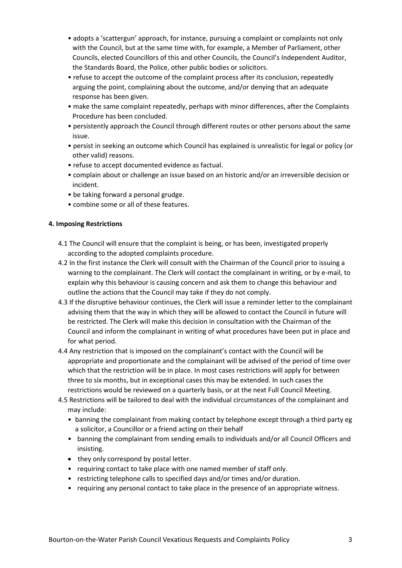- adopts a 'scattergun' approach, for instance, pursuing a complaint or complaints not only with the Council, but at the same time with, for example, a Member of Parliament, other Councils, elected Councillors of this and other Councils, the Council's Independent Auditor, the Standards Board, the Police, other public bodies or solicitors.
- refuse to accept the outcome of the complaint process after its conclusion, repeatedly arguing the point, complaining about the outcome, and/or denying that an adequate response has been given.
- make the same complaint repeatedly, perhaps with minor differences, after the Complaints Procedure has been concluded.
- persistently approach the Council through different routes or other persons about the same issue.
- persist in seeking an outcome which Council has explained is unrealistic for legal or policy (or other valid) reasons.
- refuse to accept documented evidence as factual.
- complain about or challenge an issue based on an historic and/or an irreversible decision or incident.
- be taking forward a personal grudge.
- combine some or all of these features.

#### **4. Imposing Restrictions**

- 4.1 The Council will ensure that the complaint is being, or has been, investigated properly according to the adopted complaints procedure.
- 4.2 In the first instance the Clerk will consult with the Chairman of the Council prior to issuing a warning to the complainant. The Clerk will contact the complainant in writing, or by e-mail, to explain why this behaviour is causing concern and ask them to change this behaviour and outline the actions that the Council may take if they do not comply.
- 4.3 If the disruptive behaviour continues, the Clerk will issue a reminder letter to the complainant advising them that the way in which they will be allowed to contact the Council in future will be restricted. The Clerk will make this decision in consultation with the Chairman of the Council and inform the complainant in writing of what procedures have been put in place and for what period.
- 4.4 Any restriction that is imposed on the complainant's contact with the Council will be appropriate and proportionate and the complainant will be advised of the period of time over which that the restriction will be in place. In most cases restrictions will apply for between three to six months, but in exceptional cases this may be extended. In such cases the restrictions would be reviewed on a quarterly basis, or at the next Full Council Meeting.
- 4.5 Restrictions will be tailored to deal with the individual circumstances of the complainant and may include:
	- banning the complainant from making contact by telephone except through a third party eg a solicitor, a Councillor or a friend acting on their behalf
	- banning the complainant from sending emails to individuals and/or all Council Officers and insisting.
	- they only correspond by postal letter.
	- requiring contact to take place with one named member of staff only.
	- restricting telephone calls to specified days and/or times and/or duration.
	- requiring any personal contact to take place in the presence of an appropriate witness.